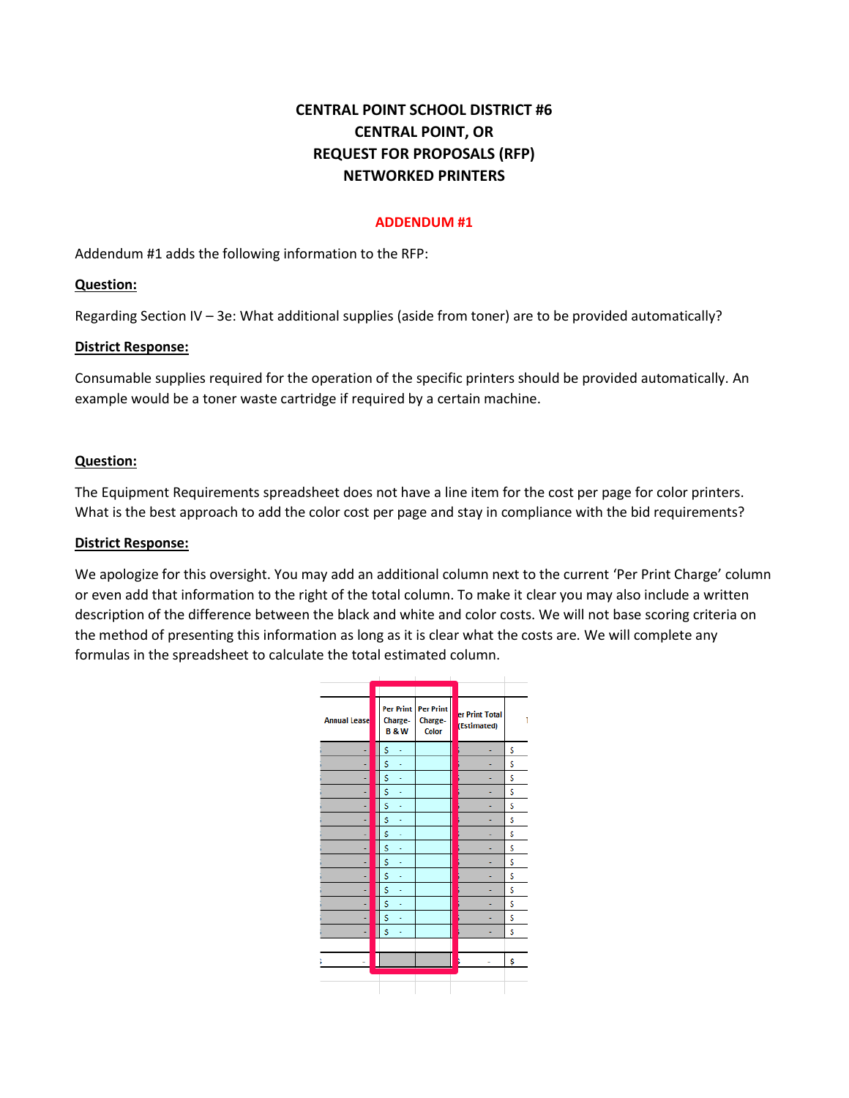# **CENTRAL POINT SCHOOL DISTRICT #6 CENTRAL POINT, OR REQUEST FOR PROPOSALS (RFP) NETWORKED PRINTERS**

### **ADDENDUM #1**

Addendum #1 adds the following information to the RFP:

# **Question:**

Regarding Section IV – 3e: What additional supplies (aside from toner) are to be provided automatically?

# **District Response:**

Consumable supplies required for the operation of the specific printers should be provided automatically. An example would be a toner waste cartridge if required by a certain machine.

# **Question:**

The Equipment Requirements spreadsheet does not have a line item for the cost per page for color printers. What is the best approach to add the color cost per page and stay in compliance with the bid requirements?

# **District Response:**

We apologize for this oversight. You may add an additional column next to the current 'Per Print Charge' column or even add that information to the right of the total column. To make it clear you may also include a written description of the difference between the black and white and color costs. We will not base scoring criteria on the method of presenting this information as long as it is clear what the costs are. We will complete any formulas in the spreadsheet to calculate the total estimated column.

| <b>Annual Lease</b> | <b>Per Print</b><br>Charge-<br><b>B&amp;W</b> | <b>Per Print</b><br>Charge-<br>Color | er Print Total<br>(Estimated) | 1  |
|---------------------|-----------------------------------------------|--------------------------------------|-------------------------------|----|
|                     | \$                                            |                                      |                               | \$ |
|                     | \$                                            |                                      |                               | \$ |
|                     | \$                                            |                                      |                               | \$ |
|                     | \$                                            |                                      |                               | \$ |
|                     | \$                                            |                                      |                               | \$ |
|                     | \$                                            |                                      |                               | \$ |
|                     | \$                                            |                                      |                               | \$ |
|                     | \$                                            |                                      |                               | \$ |
|                     | \$                                            |                                      |                               | \$ |
|                     | \$                                            |                                      |                               | \$ |
|                     | \$                                            |                                      |                               | \$ |
|                     | \$                                            |                                      |                               | \$ |
|                     | \$                                            |                                      |                               | \$ |
|                     | \$                                            |                                      |                               | \$ |
|                     |                                               |                                      |                               |    |
|                     |                                               |                                      |                               | \$ |
|                     |                                               |                                      |                               |    |
|                     |                                               |                                      |                               |    |